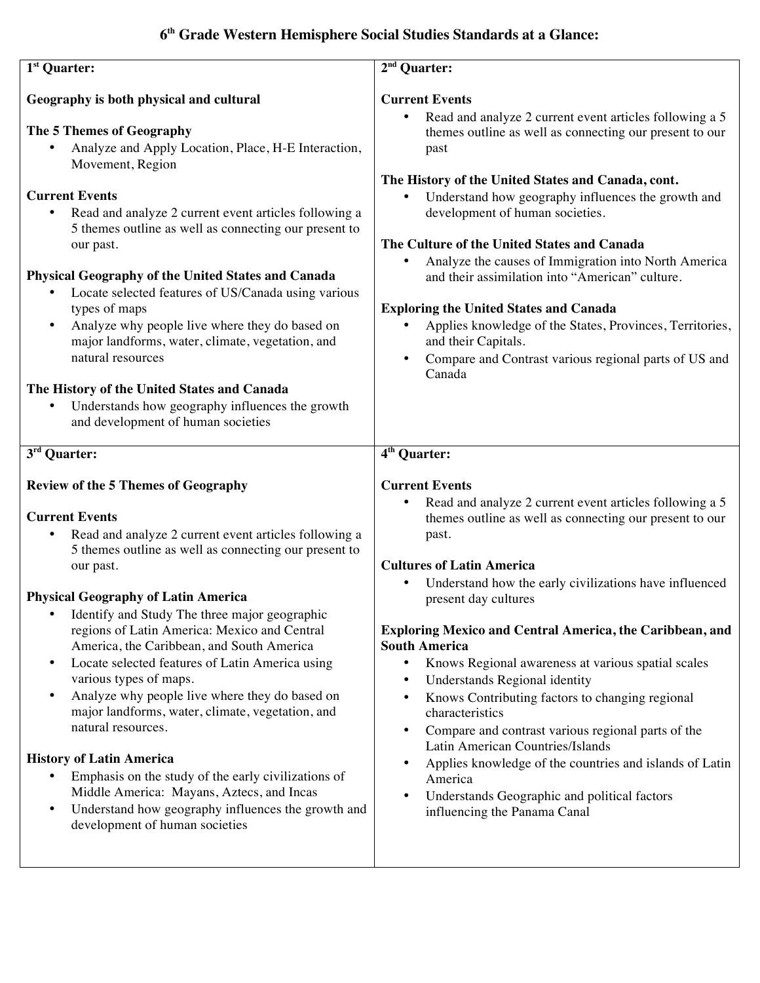# **6th Grade Western Hemisphere Social Studies Standards at a Glance:**

| $1st$ Quarter:                                                                                                                                                                                                                                                                                                                                                                                                                                                                                                                                                                                                                                                                                                                                                                                                                                                 | $2nd$ Quarter:                                                                                                                                                                                                                                                                                                                                                                                                                                                                                                                                                                                                                                                                                                                                                                                                                                                    |
|----------------------------------------------------------------------------------------------------------------------------------------------------------------------------------------------------------------------------------------------------------------------------------------------------------------------------------------------------------------------------------------------------------------------------------------------------------------------------------------------------------------------------------------------------------------------------------------------------------------------------------------------------------------------------------------------------------------------------------------------------------------------------------------------------------------------------------------------------------------|-------------------------------------------------------------------------------------------------------------------------------------------------------------------------------------------------------------------------------------------------------------------------------------------------------------------------------------------------------------------------------------------------------------------------------------------------------------------------------------------------------------------------------------------------------------------------------------------------------------------------------------------------------------------------------------------------------------------------------------------------------------------------------------------------------------------------------------------------------------------|
| Geography is both physical and cultural                                                                                                                                                                                                                                                                                                                                                                                                                                                                                                                                                                                                                                                                                                                                                                                                                        | <b>Current Events</b>                                                                                                                                                                                                                                                                                                                                                                                                                                                                                                                                                                                                                                                                                                                                                                                                                                             |
| The 5 Themes of Geography<br>Analyze and Apply Location, Place, H-E Interaction,<br>Movement, Region<br><b>Current Events</b>                                                                                                                                                                                                                                                                                                                                                                                                                                                                                                                                                                                                                                                                                                                                  | Read and analyze 2 current event articles following a 5<br>$\bullet$<br>themes outline as well as connecting our present to our<br>past<br>The History of the United States and Canada, cont.<br>Understand how geography influences the growth and<br>$\bullet$                                                                                                                                                                                                                                                                                                                                                                                                                                                                                                                                                                                                  |
| Read and analyze 2 current event articles following a<br>$\bullet$<br>5 themes outline as well as connecting our present to<br>our past.                                                                                                                                                                                                                                                                                                                                                                                                                                                                                                                                                                                                                                                                                                                       | development of human societies.<br>The Culture of the United States and Canada<br>Analyze the causes of Immigration into North America<br>$\bullet$                                                                                                                                                                                                                                                                                                                                                                                                                                                                                                                                                                                                                                                                                                               |
| <b>Physical Geography of the United States and Canada</b><br>Locate selected features of US/Canada using various<br>$\bullet$<br>types of maps<br>Analyze why people live where they do based on<br>$\bullet$                                                                                                                                                                                                                                                                                                                                                                                                                                                                                                                                                                                                                                                  | and their assimilation into "American" culture.<br><b>Exploring the United States and Canada</b><br>Applies knowledge of the States, Provinces, Territories,<br>$\bullet$                                                                                                                                                                                                                                                                                                                                                                                                                                                                                                                                                                                                                                                                                         |
| major landforms, water, climate, vegetation, and<br>natural resources                                                                                                                                                                                                                                                                                                                                                                                                                                                                                                                                                                                                                                                                                                                                                                                          | and their Capitals.<br>Compare and Contrast various regional parts of US and<br>$\bullet$<br>Canada                                                                                                                                                                                                                                                                                                                                                                                                                                                                                                                                                                                                                                                                                                                                                               |
| The History of the United States and Canada<br>Understands how geography influences the growth<br>$\bullet$<br>and development of human societies                                                                                                                                                                                                                                                                                                                                                                                                                                                                                                                                                                                                                                                                                                              |                                                                                                                                                                                                                                                                                                                                                                                                                                                                                                                                                                                                                                                                                                                                                                                                                                                                   |
| 3 <sup>rd</sup> Quarter:                                                                                                                                                                                                                                                                                                                                                                                                                                                                                                                                                                                                                                                                                                                                                                                                                                       | 4 <sup>th</sup> Quarter:                                                                                                                                                                                                                                                                                                                                                                                                                                                                                                                                                                                                                                                                                                                                                                                                                                          |
| <b>Review of the 5 Themes of Geography</b>                                                                                                                                                                                                                                                                                                                                                                                                                                                                                                                                                                                                                                                                                                                                                                                                                     | <b>Current Events</b>                                                                                                                                                                                                                                                                                                                                                                                                                                                                                                                                                                                                                                                                                                                                                                                                                                             |
| <b>Current Events</b><br>Read and analyze 2 current event articles following a<br>٠<br>5 themes outline as well as connecting our present to<br>our past.<br><b>Physical Geography of Latin America</b><br>Identify and Study The three major geographic<br>$\bullet$<br>regions of Latin America: Mexico and Central<br>America, the Caribbean, and South America<br>Locate selected features of Latin America using<br>$\bullet$<br>various types of maps.<br>Analyze why people live where they do based on<br>$\bullet$<br>major landforms, water, climate, vegetation, and<br>natural resources.<br><b>History of Latin America</b><br>Emphasis on the study of the early civilizations of<br>$\bullet$<br>Middle America: Mayans, Aztecs, and Incas<br>Understand how geography influences the growth and<br>$\bullet$<br>development of human societies | Read and analyze 2 current event articles following a 5<br>$\bullet$<br>themes outline as well as connecting our present to our<br>past.<br><b>Cultures of Latin America</b><br>Understand how the early civilizations have influenced<br>$\bullet$<br>present day cultures<br><b>Exploring Mexico and Central America, the Caribbean, and</b><br><b>South America</b><br>Knows Regional awareness at various spatial scales<br>$\bullet$<br>Understands Regional identity<br>$\bullet$<br>Knows Contributing factors to changing regional<br>$\bullet$<br>characteristics<br>Compare and contrast various regional parts of the<br>$\bullet$<br>Latin American Countries/Islands<br>Applies knowledge of the countries and islands of Latin<br>$\bullet$<br>America<br>Understands Geographic and political factors<br>$\bullet$<br>influencing the Panama Canal |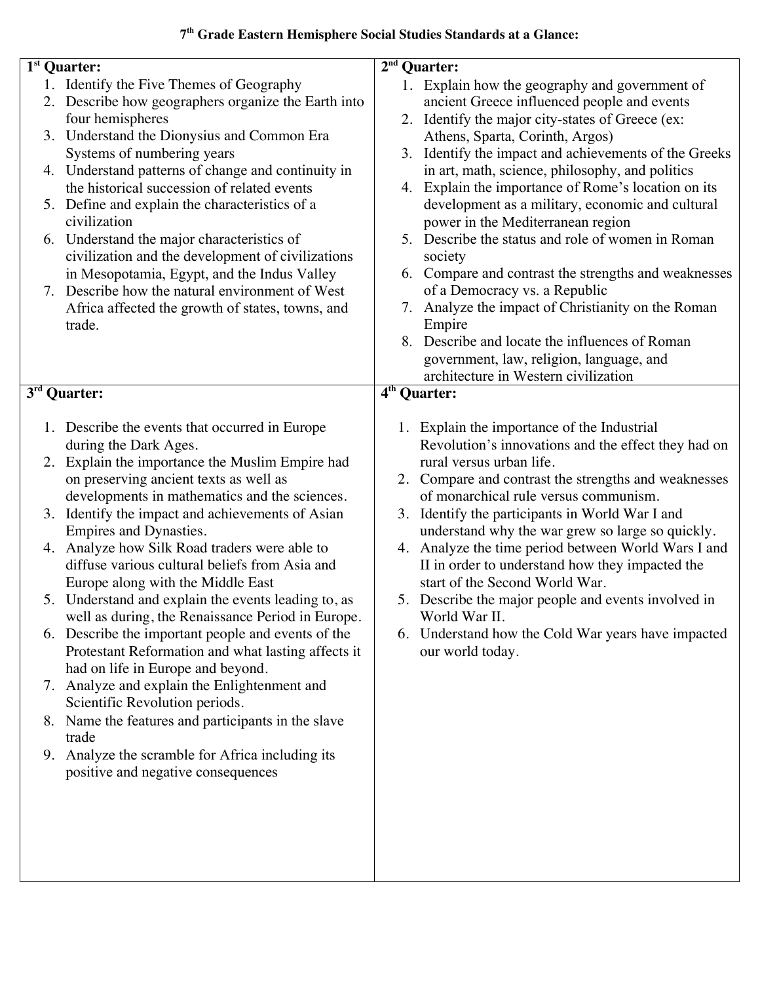## **7th Grade Eastern Hemisphere Social Studies Standards at a Glance:**

|    | 1 <sup>st</sup> Quarter:                                                                |    | $2nd$ Quarter:                                                                                         |
|----|-----------------------------------------------------------------------------------------|----|--------------------------------------------------------------------------------------------------------|
|    | 1. Identify the Five Themes of Geography                                                |    | 1. Explain how the geography and government of                                                         |
|    | 2. Describe how geographers organize the Earth into                                     |    | ancient Greece influenced people and events                                                            |
|    | four hemispheres                                                                        |    | 2. Identify the major city-states of Greece (ex:                                                       |
|    | 3. Understand the Dionysius and Common Era                                              |    | Athens, Sparta, Corinth, Argos)                                                                        |
|    | Systems of numbering years<br>4. Understand patterns of change and continuity in        | 3. | Identify the impact and achievements of the Greeks                                                     |
|    | the historical succession of related events                                             |    | in art, math, science, philosophy, and politics<br>4. Explain the importance of Rome's location on its |
|    | 5. Define and explain the characteristics of a                                          |    | development as a military, economic and cultural                                                       |
|    | civilization                                                                            |    | power in the Mediterranean region                                                                      |
| 6. | Understand the major characteristics of                                                 |    | 5. Describe the status and role of women in Roman                                                      |
|    | civilization and the development of civilizations                                       |    | society                                                                                                |
|    | in Mesopotamia, Egypt, and the Indus Valley                                             |    | 6. Compare and contrast the strengths and weaknesses                                                   |
| 7. | Describe how the natural environment of West                                            |    | of a Democracy vs. a Republic                                                                          |
|    | Africa affected the growth of states, towns, and                                        |    | 7. Analyze the impact of Christianity on the Roman                                                     |
|    | trade.                                                                                  |    | Empire                                                                                                 |
|    |                                                                                         |    | 8. Describe and locate the influences of Roman                                                         |
|    |                                                                                         |    | government, law, religion, language, and                                                               |
|    |                                                                                         |    | architecture in Western civilization<br>4 <sup>th</sup> Quarter:                                       |
|    | $\overline{\mathbf{3}}^{\text{rd}}$ Quarter:                                            |    |                                                                                                        |
|    | 1. Describe the events that occurred in Europe                                          |    | 1. Explain the importance of the Industrial                                                            |
|    | during the Dark Ages.                                                                   |    | Revolution's innovations and the effect they had on                                                    |
| 2. | Explain the importance the Muslim Empire had                                            |    | rural versus urban life.                                                                               |
|    | on preserving ancient texts as well as                                                  |    | 2. Compare and contrast the strengths and weaknesses                                                   |
|    | developments in mathematics and the sciences.                                           |    | of monarchical rule versus communism.                                                                  |
| 3. | Identify the impact and achievements of Asian                                           |    | 3. Identify the participants in World War I and                                                        |
|    | Empires and Dynasties.                                                                  |    | understand why the war grew so large so quickly.                                                       |
|    | 4. Analyze how Silk Road traders were able to                                           |    | 4. Analyze the time period between World Wars I and                                                    |
|    | diffuse various cultural beliefs from Asia and                                          |    | II in order to understand how they impacted the                                                        |
|    | Europe along with the Middle East                                                       |    | start of the Second World War.                                                                         |
|    | 5. Understand and explain the events leading to, as                                     |    | 5. Describe the major people and events involved in                                                    |
|    | well as during, the Renaissance Period in Europe.                                       |    | World War II.                                                                                          |
|    | 6. Describe the important people and events of the                                      |    | 6. Understand how the Cold War years have impacted                                                     |
|    | Protestant Reformation and what lasting affects it<br>had on life in Europe and beyond. |    | our world today.                                                                                       |
|    | 7. Analyze and explain the Enlightenment and                                            |    |                                                                                                        |
|    | Scientific Revolution periods.                                                          |    |                                                                                                        |
|    | 8. Name the features and participants in the slave                                      |    |                                                                                                        |
|    | trade                                                                                   |    |                                                                                                        |
|    | 9. Analyze the scramble for Africa including its                                        |    |                                                                                                        |
|    | positive and negative consequences                                                      |    |                                                                                                        |
|    |                                                                                         |    |                                                                                                        |
|    |                                                                                         |    |                                                                                                        |
|    |                                                                                         |    |                                                                                                        |
|    |                                                                                         |    |                                                                                                        |
|    |                                                                                         |    |                                                                                                        |
|    |                                                                                         |    |                                                                                                        |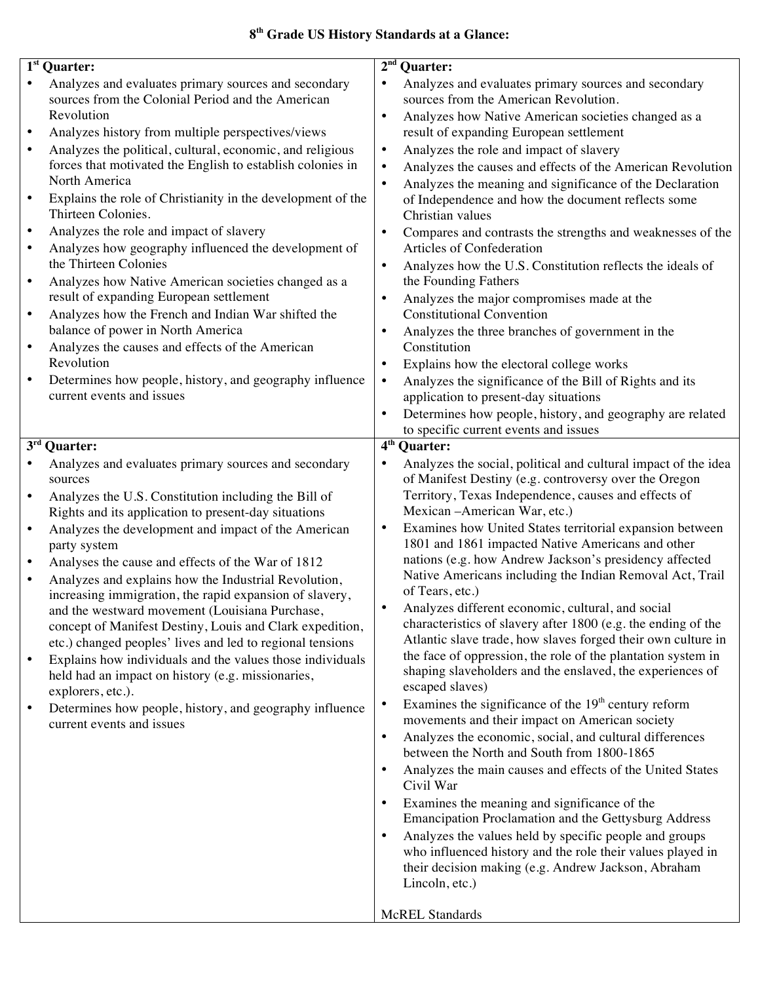## **8th Grade US History Standards at a Glance:**

| $\overline{1}$ <sup>st</sup> Quarter:                                                                                                                                                                                                                                                                                                                                                                                                                                                                                                                                                                                                                                                                                                                                                                                                                                                                                                                                                                                | 2 <sup>nd</sup><br><b>Quarter:</b>                                                                                                                                                                                                                                                                                                                                                                                                                                                                                                                                                                                                                                                                                                                                                                                                                                                                                                                                                                                                                                                                                                                                                                                                                                                                                                                                                                                                                                                                                                                        |
|----------------------------------------------------------------------------------------------------------------------------------------------------------------------------------------------------------------------------------------------------------------------------------------------------------------------------------------------------------------------------------------------------------------------------------------------------------------------------------------------------------------------------------------------------------------------------------------------------------------------------------------------------------------------------------------------------------------------------------------------------------------------------------------------------------------------------------------------------------------------------------------------------------------------------------------------------------------------------------------------------------------------|-----------------------------------------------------------------------------------------------------------------------------------------------------------------------------------------------------------------------------------------------------------------------------------------------------------------------------------------------------------------------------------------------------------------------------------------------------------------------------------------------------------------------------------------------------------------------------------------------------------------------------------------------------------------------------------------------------------------------------------------------------------------------------------------------------------------------------------------------------------------------------------------------------------------------------------------------------------------------------------------------------------------------------------------------------------------------------------------------------------------------------------------------------------------------------------------------------------------------------------------------------------------------------------------------------------------------------------------------------------------------------------------------------------------------------------------------------------------------------------------------------------------------------------------------------------|
| Analyzes and evaluates primary sources and secondary<br>sources from the Colonial Period and the American<br>Revolution<br>Analyzes history from multiple perspectives/views<br>$\bullet$<br>Analyzes the political, cultural, economic, and religious<br>$\bullet$<br>forces that motivated the English to establish colonies in<br>North America<br>Explains the role of Christianity in the development of the<br>$\bullet$<br>Thirteen Colonies.<br>Analyzes the role and impact of slavery<br>$\bullet$<br>Analyzes how geography influenced the development of<br>$\bullet$<br>the Thirteen Colonies<br>Analyzes how Native American societies changed as a<br>$\bullet$<br>result of expanding European settlement<br>Analyzes how the French and Indian War shifted the<br>$\bullet$<br>balance of power in North America<br>Analyzes the causes and effects of the American<br>$\bullet$<br>Revolution<br>Determines how people, history, and geography influence<br>$\bullet$<br>current events and issues | Analyzes and evaluates primary sources and secondary<br>$\bullet$<br>sources from the American Revolution.<br>Analyzes how Native American societies changed as a<br>result of expanding European settlement<br>Analyzes the role and impact of slavery<br>$\bullet$<br>Analyzes the causes and effects of the American Revolution<br>$\bullet$<br>Analyzes the meaning and significance of the Declaration<br>of Independence and how the document reflects some<br>Christian values<br>Compares and contrasts the strengths and weaknesses of the<br>$\bullet$<br>Articles of Confederation<br>Analyzes how the U.S. Constitution reflects the ideals of<br>the Founding Fathers<br>Analyzes the major compromises made at the<br>$\bullet$<br><b>Constitutional Convention</b><br>Analyzes the three branches of government in the<br>Constitution<br>Explains how the electoral college works<br>$\bullet$<br>Analyzes the significance of the Bill of Rights and its<br>$\bullet$<br>application to present-day situations<br>Determines how people, history, and geography are related<br>to specific current events and issues                                                                                                                                                                                                                                                                                                                                                                                                                     |
|                                                                                                                                                                                                                                                                                                                                                                                                                                                                                                                                                                                                                                                                                                                                                                                                                                                                                                                                                                                                                      |                                                                                                                                                                                                                                                                                                                                                                                                                                                                                                                                                                                                                                                                                                                                                                                                                                                                                                                                                                                                                                                                                                                                                                                                                                                                                                                                                                                                                                                                                                                                                           |
| $\overline{3}^{\rm rd}$ Quarter:<br>Analyzes and evaluates primary sources and secondary<br>sources<br>Analyzes the U.S. Constitution including the Bill of<br>$\bullet$<br>Rights and its application to present-day situations<br>Analyzes the development and impact of the American<br>$\bullet$<br>party system<br>Analyses the cause and effects of the War of 1812<br>$\bullet$<br>Analyzes and explains how the Industrial Revolution,<br>$\bullet$<br>increasing immigration, the rapid expansion of slavery,<br>and the westward movement (Louisiana Purchase.<br>concept of Manifest Destiny, Louis and Clark expedition,<br>etc.) changed peoples' lives and led to regional tensions<br>Explains how individuals and the values those individuals<br>$\bullet$<br>held had an impact on history (e.g. missionaries,<br>explorers, etc.).<br>Determines how people, history, and geography influence<br>$\bullet$<br>current events and issues                                                           | 4 <sup>th</sup><br><b>Quarter:</b><br>Analyzes the social, political and cultural impact of the idea<br>$\bullet$<br>of Manifest Destiny (e.g. controversy over the Oregon<br>Territory, Texas Independence, causes and effects of<br>Mexican - American War, etc.)<br>Examines how United States territorial expansion between<br>$\bullet$<br>1801 and 1861 impacted Native Americans and other<br>nations (e.g. how Andrew Jackson's presidency affected<br>Native Americans including the Indian Removal Act, Trail<br>of Tears, etc.)<br>Analyzes different economic, cultural, and social<br>characteristics of slavery after 1800 (e.g. the ending of the<br>Atlantic slave trade, how slaves forged their own culture in<br>the face of oppression, the role of the plantation system in<br>shaping slaveholders and the enslaved, the experiences of<br>escaped slaves)<br>Examines the significance of the $19th$ century reform<br>$\bullet$<br>movements and their impact on American society<br>Analyzes the economic, social, and cultural differences<br>$\bullet$<br>between the North and South from 1800-1865<br>Analyzes the main causes and effects of the United States<br>Civil War<br>Examines the meaning and significance of the<br>Emancipation Proclamation and the Gettysburg Address<br>Analyzes the values held by specific people and groups<br>$\bullet$<br>who influenced history and the role their values played in<br>their decision making (e.g. Andrew Jackson, Abraham<br>Lincoln, etc.)<br><b>McREL Standards</b> |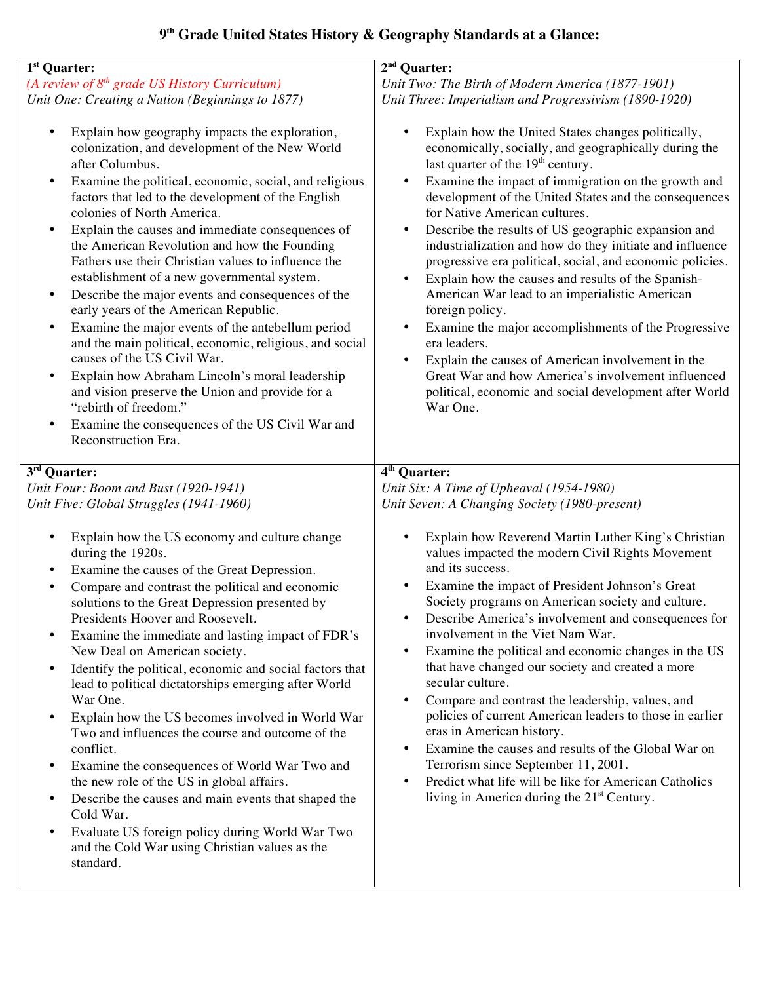# **9th Grade United States History & Geography Standards at a Glance:**

| (A review of 8 <sup>th</sup> grade US History Curriculum)<br>Unit Two: The Birth of Modern America (1877-1901)<br>Unit One: Creating a Nation (Beginnings to 1877)<br>Unit Three: Imperialism and Progressivism (1890-1920)<br>Explain how geography impacts the exploration,<br>Explain how the United States changes politically,<br>$\bullet$<br>colonization, and development of the New World<br>last quarter of the 19 <sup>th</sup> century.<br>after Columbus.<br>Examine the political, economic, social, and religious<br>٠<br>factors that led to the development of the English<br>colonies of North America.<br>for Native American cultures.<br>Explain the causes and immediate consequences of<br>$\bullet$<br>$\bullet$<br>the American Revolution and how the Founding<br>Fathers use their Christian values to influence the<br>establishment of a new governmental system.<br>Explain how the causes and results of the Spanish-<br>Describe the major events and consequences of the<br>American War lead to an imperialistic American<br>$\bullet$<br>early years of the American Republic.<br>foreign policy.<br>Examine the major events of the antebellum period<br>$\bullet$<br>and the main political, economic, religious, and social<br>era leaders.<br>causes of the US Civil War.<br>Explain how Abraham Lincoln's moral leadership<br>$\bullet$<br>and vision preserve the Union and provide for a<br>"rebirth of freedom."<br>War One.<br>Examine the consequences of the US Civil War and<br>$\bullet$<br>Reconstruction Era.<br>3rd Quarter:<br>$\overline{4^{th}}$ Quarter:<br>Unit Four: Boom and Bust (1920-1941)<br>Unit Six: A Time of Upheaval (1954-1980)<br>Unit Five: Global Struggles (1941-1960)<br>Unit Seven: A Changing Society (1980-present)<br>Explain how the US economy and culture change<br>٠<br>during the 1920s.<br>and its success.<br>Examine the causes of the Great Depression.<br>$\bullet$<br>Examine the impact of President Johnson's Great<br>Compare and contrast the political and economic<br>solutions to the Great Depression presented by<br>Presidents Hoover and Roosevelt.<br>involvement in the Viet Nam War.<br>Examine the immediate and lasting impact of FDR's<br>$\bullet$<br>New Deal on American society.<br>$\bullet$<br>that have changed our society and created a more<br>Identify the political, economic and social factors that<br>$\bullet$<br>secular culture.<br>lead to political dictatorships emerging after World<br>War One.<br>Compare and contrast the leadership, values, and<br>Explain how the US becomes involved in World War<br>$\bullet$<br>eras in American history.<br>Two and influences the course and outcome of the<br>conflict.<br>Terrorism since September 11, 2001.<br>Examine the consequences of World War Two and<br>$\bullet$<br>the new role of the US in global affairs.<br>$\bullet$<br>$\bullet$ |                                                     |                                                                                                                                                                                                                                                                                                                                                                                                                                                                                                                                                                                    |
|--------------------------------------------------------------------------------------------------------------------------------------------------------------------------------------------------------------------------------------------------------------------------------------------------------------------------------------------------------------------------------------------------------------------------------------------------------------------------------------------------------------------------------------------------------------------------------------------------------------------------------------------------------------------------------------------------------------------------------------------------------------------------------------------------------------------------------------------------------------------------------------------------------------------------------------------------------------------------------------------------------------------------------------------------------------------------------------------------------------------------------------------------------------------------------------------------------------------------------------------------------------------------------------------------------------------------------------------------------------------------------------------------------------------------------------------------------------------------------------------------------------------------------------------------------------------------------------------------------------------------------------------------------------------------------------------------------------------------------------------------------------------------------------------------------------------------------------------------------------------------------------------------------------------------------------------------------------------------------------------------------------------------------------------------------------------------------------------------------------------------------------------------------------------------------------------------------------------------------------------------------------------------------------------------------------------------------------------------------------------------------------------------------------------------------------------------------------------------------------------------------------------------------------------------------------------------------------------------------------------------------------------------------------------------------------------------------------------------------------------------------------------------------------------------------------------------------------------------------------------------------------------------------------------------------|-----------------------------------------------------|------------------------------------------------------------------------------------------------------------------------------------------------------------------------------------------------------------------------------------------------------------------------------------------------------------------------------------------------------------------------------------------------------------------------------------------------------------------------------------------------------------------------------------------------------------------------------------|
|                                                                                                                                                                                                                                                                                                                                                                                                                                                                                                                                                                                                                                                                                                                                                                                                                                                                                                                                                                                                                                                                                                                                                                                                                                                                                                                                                                                                                                                                                                                                                                                                                                                                                                                                                                                                                                                                                                                                                                                                                                                                                                                                                                                                                                                                                                                                                                                                                                                                                                                                                                                                                                                                                                                                                                                                                                                                                                                                | $\overline{1^{st}}$ Quarter:                        | $2nd$ Quarter:                                                                                                                                                                                                                                                                                                                                                                                                                                                                                                                                                                     |
|                                                                                                                                                                                                                                                                                                                                                                                                                                                                                                                                                                                                                                                                                                                                                                                                                                                                                                                                                                                                                                                                                                                                                                                                                                                                                                                                                                                                                                                                                                                                                                                                                                                                                                                                                                                                                                                                                                                                                                                                                                                                                                                                                                                                                                                                                                                                                                                                                                                                                                                                                                                                                                                                                                                                                                                                                                                                                                                                |                                                     |                                                                                                                                                                                                                                                                                                                                                                                                                                                                                                                                                                                    |
|                                                                                                                                                                                                                                                                                                                                                                                                                                                                                                                                                                                                                                                                                                                                                                                                                                                                                                                                                                                                                                                                                                                                                                                                                                                                                                                                                                                                                                                                                                                                                                                                                                                                                                                                                                                                                                                                                                                                                                                                                                                                                                                                                                                                                                                                                                                                                                                                                                                                                                                                                                                                                                                                                                                                                                                                                                                                                                                                |                                                     |                                                                                                                                                                                                                                                                                                                                                                                                                                                                                                                                                                                    |
|                                                                                                                                                                                                                                                                                                                                                                                                                                                                                                                                                                                                                                                                                                                                                                                                                                                                                                                                                                                                                                                                                                                                                                                                                                                                                                                                                                                                                                                                                                                                                                                                                                                                                                                                                                                                                                                                                                                                                                                                                                                                                                                                                                                                                                                                                                                                                                                                                                                                                                                                                                                                                                                                                                                                                                                                                                                                                                                                |                                                     | economically, socially, and geographically during the<br>Examine the impact of immigration on the growth and<br>development of the United States and the consequences<br>Describe the results of US geographic expansion and<br>industrialization and how do they initiate and influence<br>progressive era political, social, and economic policies.<br>Examine the major accomplishments of the Progressive<br>Explain the causes of American involvement in the<br>Great War and how America's involvement influenced<br>political, economic and social development after World |
|                                                                                                                                                                                                                                                                                                                                                                                                                                                                                                                                                                                                                                                                                                                                                                                                                                                                                                                                                                                                                                                                                                                                                                                                                                                                                                                                                                                                                                                                                                                                                                                                                                                                                                                                                                                                                                                                                                                                                                                                                                                                                                                                                                                                                                                                                                                                                                                                                                                                                                                                                                                                                                                                                                                                                                                                                                                                                                                                |                                                     |                                                                                                                                                                                                                                                                                                                                                                                                                                                                                                                                                                                    |
|                                                                                                                                                                                                                                                                                                                                                                                                                                                                                                                                                                                                                                                                                                                                                                                                                                                                                                                                                                                                                                                                                                                                                                                                                                                                                                                                                                                                                                                                                                                                                                                                                                                                                                                                                                                                                                                                                                                                                                                                                                                                                                                                                                                                                                                                                                                                                                                                                                                                                                                                                                                                                                                                                                                                                                                                                                                                                                                                |                                                     |                                                                                                                                                                                                                                                                                                                                                                                                                                                                                                                                                                                    |
|                                                                                                                                                                                                                                                                                                                                                                                                                                                                                                                                                                                                                                                                                                                                                                                                                                                                                                                                                                                                                                                                                                                                                                                                                                                                                                                                                                                                                                                                                                                                                                                                                                                                                                                                                                                                                                                                                                                                                                                                                                                                                                                                                                                                                                                                                                                                                                                                                                                                                                                                                                                                                                                                                                                                                                                                                                                                                                                                |                                                     |                                                                                                                                                                                                                                                                                                                                                                                                                                                                                                                                                                                    |
|                                                                                                                                                                                                                                                                                                                                                                                                                                                                                                                                                                                                                                                                                                                                                                                                                                                                                                                                                                                                                                                                                                                                                                                                                                                                                                                                                                                                                                                                                                                                                                                                                                                                                                                                                                                                                                                                                                                                                                                                                                                                                                                                                                                                                                                                                                                                                                                                                                                                                                                                                                                                                                                                                                                                                                                                                                                                                                                                |                                                     |                                                                                                                                                                                                                                                                                                                                                                                                                                                                                                                                                                                    |
| Cold War.<br>Evaluate US foreign policy during World War Two<br>$\bullet$<br>and the Cold War using Christian values as the<br>standard.                                                                                                                                                                                                                                                                                                                                                                                                                                                                                                                                                                                                                                                                                                                                                                                                                                                                                                                                                                                                                                                                                                                                                                                                                                                                                                                                                                                                                                                                                                                                                                                                                                                                                                                                                                                                                                                                                                                                                                                                                                                                                                                                                                                                                                                                                                                                                                                                                                                                                                                                                                                                                                                                                                                                                                                       | Describe the causes and main events that shaped the | Explain how Reverend Martin Luther King's Christian<br>values impacted the modern Civil Rights Movement<br>Society programs on American society and culture.<br>Describe America's involvement and consequences for<br>Examine the political and economic changes in the US<br>policies of current American leaders to those in earlier<br>Examine the causes and results of the Global War on<br>Predict what life will be like for American Catholics<br>living in America during the 21 <sup>st</sup> Century.                                                                  |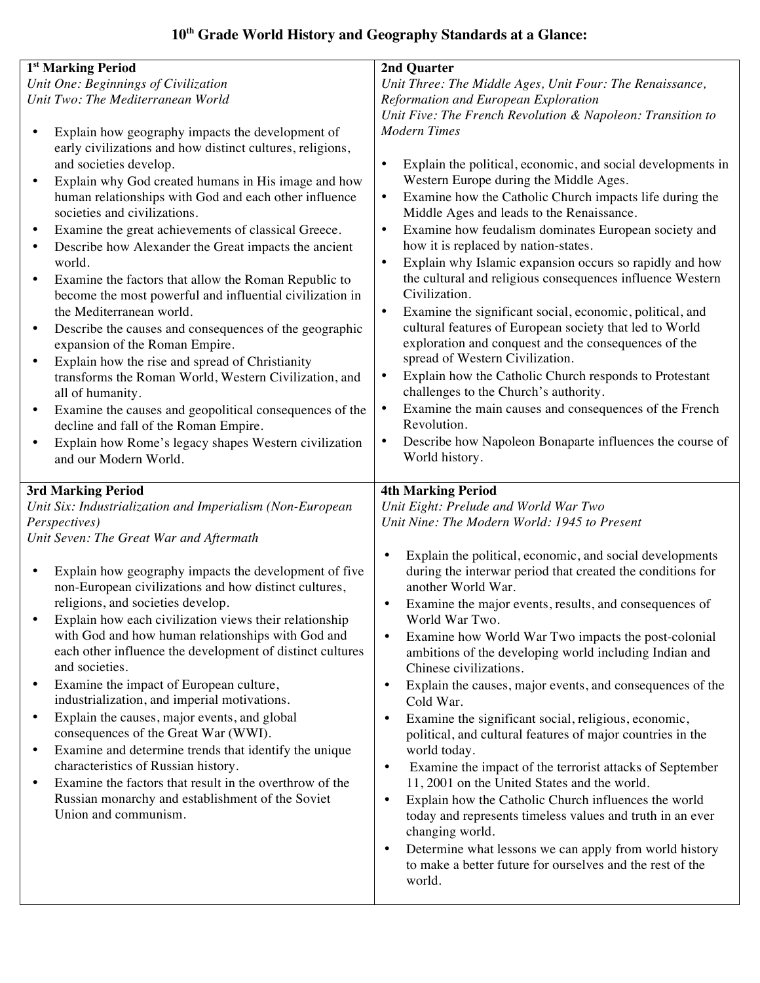# **10th Grade World History and Geography Standards at a Glance:**

| 1 <sup>st</sup> Marking Period                                                                                                                                                                                                                                                                                                                                                                                                                                                                                                                                                                                                                                                                                                                                                                                                                                                                                                                                                                                                                                                | 2nd Quarter                                                                                                                                                                                                                                                                                                                                                                                                                                                                                                                                                                                                                                                                                                                                                                                                                                                                                                                                                                                                                                                       |
|-------------------------------------------------------------------------------------------------------------------------------------------------------------------------------------------------------------------------------------------------------------------------------------------------------------------------------------------------------------------------------------------------------------------------------------------------------------------------------------------------------------------------------------------------------------------------------------------------------------------------------------------------------------------------------------------------------------------------------------------------------------------------------------------------------------------------------------------------------------------------------------------------------------------------------------------------------------------------------------------------------------------------------------------------------------------------------|-------------------------------------------------------------------------------------------------------------------------------------------------------------------------------------------------------------------------------------------------------------------------------------------------------------------------------------------------------------------------------------------------------------------------------------------------------------------------------------------------------------------------------------------------------------------------------------------------------------------------------------------------------------------------------------------------------------------------------------------------------------------------------------------------------------------------------------------------------------------------------------------------------------------------------------------------------------------------------------------------------------------------------------------------------------------|
| Unit One: Beginnings of Civilization                                                                                                                                                                                                                                                                                                                                                                                                                                                                                                                                                                                                                                                                                                                                                                                                                                                                                                                                                                                                                                          | Unit Three: The Middle Ages, Unit Four: The Renaissance,                                                                                                                                                                                                                                                                                                                                                                                                                                                                                                                                                                                                                                                                                                                                                                                                                                                                                                                                                                                                          |
| Unit Two: The Mediterranean World                                                                                                                                                                                                                                                                                                                                                                                                                                                                                                                                                                                                                                                                                                                                                                                                                                                                                                                                                                                                                                             | Reformation and European Exploration                                                                                                                                                                                                                                                                                                                                                                                                                                                                                                                                                                                                                                                                                                                                                                                                                                                                                                                                                                                                                              |
|                                                                                                                                                                                                                                                                                                                                                                                                                                                                                                                                                                                                                                                                                                                                                                                                                                                                                                                                                                                                                                                                               | Unit Five: The French Revolution & Napoleon: Transition to                                                                                                                                                                                                                                                                                                                                                                                                                                                                                                                                                                                                                                                                                                                                                                                                                                                                                                                                                                                                        |
| Explain how geography impacts the development of<br>early civilizations and how distinct cultures, religions,<br>and societies develop.<br>Explain why God created humans in His image and how<br>$\bullet$<br>human relationships with God and each other influence<br>societies and civilizations.<br>Examine the great achievements of classical Greece.<br>$\bullet$<br>Describe how Alexander the Great impacts the ancient<br>$\bullet$<br>world.<br>Examine the factors that allow the Roman Republic to<br>$\bullet$<br>become the most powerful and influential civilization in<br>the Mediterranean world.<br>Describe the causes and consequences of the geographic<br>$\bullet$<br>expansion of the Roman Empire.<br>Explain how the rise and spread of Christianity<br>$\bullet$<br>transforms the Roman World, Western Civilization, and<br>all of humanity.<br>Examine the causes and geopolitical consequences of the<br>$\bullet$<br>decline and fall of the Roman Empire.<br>Explain how Rome's legacy shapes Western civilization<br>and our Modern World. | <b>Modern Times</b><br>Explain the political, economic, and social developments in<br>$\bullet$<br>Western Europe during the Middle Ages.<br>Examine how the Catholic Church impacts life during the<br>$\bullet$<br>Middle Ages and leads to the Renaissance.<br>Examine how feudalism dominates European society and<br>$\bullet$<br>how it is replaced by nation-states.<br>Explain why Islamic expansion occurs so rapidly and how<br>$\bullet$<br>the cultural and religious consequences influence Western<br>Civilization.<br>Examine the significant social, economic, political, and<br>$\bullet$<br>cultural features of European society that led to World<br>exploration and conquest and the consequences of the<br>spread of Western Civilization.<br>Explain how the Catholic Church responds to Protestant<br>$\bullet$<br>challenges to the Church's authority.<br>Examine the main causes and consequences of the French<br>$\bullet$<br>Revolution.<br>Describe how Napoleon Bonaparte influences the course of<br>$\bullet$<br>World history. |
|                                                                                                                                                                                                                                                                                                                                                                                                                                                                                                                                                                                                                                                                                                                                                                                                                                                                                                                                                                                                                                                                               |                                                                                                                                                                                                                                                                                                                                                                                                                                                                                                                                                                                                                                                                                                                                                                                                                                                                                                                                                                                                                                                                   |
|                                                                                                                                                                                                                                                                                                                                                                                                                                                                                                                                                                                                                                                                                                                                                                                                                                                                                                                                                                                                                                                                               |                                                                                                                                                                                                                                                                                                                                                                                                                                                                                                                                                                                                                                                                                                                                                                                                                                                                                                                                                                                                                                                                   |
|                                                                                                                                                                                                                                                                                                                                                                                                                                                                                                                                                                                                                                                                                                                                                                                                                                                                                                                                                                                                                                                                               |                                                                                                                                                                                                                                                                                                                                                                                                                                                                                                                                                                                                                                                                                                                                                                                                                                                                                                                                                                                                                                                                   |
| 3rd Marking Period                                                                                                                                                                                                                                                                                                                                                                                                                                                                                                                                                                                                                                                                                                                                                                                                                                                                                                                                                                                                                                                            | <b>4th Marking Period</b>                                                                                                                                                                                                                                                                                                                                                                                                                                                                                                                                                                                                                                                                                                                                                                                                                                                                                                                                                                                                                                         |
| Unit Six: Industrialization and Imperialism (Non-European                                                                                                                                                                                                                                                                                                                                                                                                                                                                                                                                                                                                                                                                                                                                                                                                                                                                                                                                                                                                                     | Unit Eight: Prelude and World War Two                                                                                                                                                                                                                                                                                                                                                                                                                                                                                                                                                                                                                                                                                                                                                                                                                                                                                                                                                                                                                             |
| Perspectives)                                                                                                                                                                                                                                                                                                                                                                                                                                                                                                                                                                                                                                                                                                                                                                                                                                                                                                                                                                                                                                                                 | Unit Nine: The Modern World: 1945 to Present                                                                                                                                                                                                                                                                                                                                                                                                                                                                                                                                                                                                                                                                                                                                                                                                                                                                                                                                                                                                                      |
| Unit Seven: The Great War and Aftermath                                                                                                                                                                                                                                                                                                                                                                                                                                                                                                                                                                                                                                                                                                                                                                                                                                                                                                                                                                                                                                       |                                                                                                                                                                                                                                                                                                                                                                                                                                                                                                                                                                                                                                                                                                                                                                                                                                                                                                                                                                                                                                                                   |
| Explain how geography impacts the development of five<br>non-European civilizations and how distinct cultures,                                                                                                                                                                                                                                                                                                                                                                                                                                                                                                                                                                                                                                                                                                                                                                                                                                                                                                                                                                | Explain the political, economic, and social developments<br>$\bullet$<br>during the interwar period that created the conditions for<br>another World War.                                                                                                                                                                                                                                                                                                                                                                                                                                                                                                                                                                                                                                                                                                                                                                                                                                                                                                         |
| religions, and societies develop.<br>Explain how each civilization views their relationship                                                                                                                                                                                                                                                                                                                                                                                                                                                                                                                                                                                                                                                                                                                                                                                                                                                                                                                                                                                   | Examine the major events, results, and consequences of<br>$\bullet$<br>World War Two.                                                                                                                                                                                                                                                                                                                                                                                                                                                                                                                                                                                                                                                                                                                                                                                                                                                                                                                                                                             |
| with God and how human relationships with God and<br>each other influence the development of distinct cultures<br>and societies.                                                                                                                                                                                                                                                                                                                                                                                                                                                                                                                                                                                                                                                                                                                                                                                                                                                                                                                                              | Examine how World War Two impacts the post-colonial<br>$\bullet$<br>ambitions of the developing world including Indian and<br>Chinese civilizations.                                                                                                                                                                                                                                                                                                                                                                                                                                                                                                                                                                                                                                                                                                                                                                                                                                                                                                              |
| Examine the impact of European culture,<br>٠<br>industrialization, and imperial motivations.                                                                                                                                                                                                                                                                                                                                                                                                                                                                                                                                                                                                                                                                                                                                                                                                                                                                                                                                                                                  | Explain the causes, major events, and consequences of the<br>$\bullet$<br>Cold War.                                                                                                                                                                                                                                                                                                                                                                                                                                                                                                                                                                                                                                                                                                                                                                                                                                                                                                                                                                               |
| Explain the causes, major events, and global<br>$\bullet$                                                                                                                                                                                                                                                                                                                                                                                                                                                                                                                                                                                                                                                                                                                                                                                                                                                                                                                                                                                                                     | Examine the significant social, religious, economic,<br>$\bullet$                                                                                                                                                                                                                                                                                                                                                                                                                                                                                                                                                                                                                                                                                                                                                                                                                                                                                                                                                                                                 |
| consequences of the Great War (WWI).<br>Examine and determine trends that identify the unique<br>$\bullet$                                                                                                                                                                                                                                                                                                                                                                                                                                                                                                                                                                                                                                                                                                                                                                                                                                                                                                                                                                    | political, and cultural features of major countries in the<br>world today.                                                                                                                                                                                                                                                                                                                                                                                                                                                                                                                                                                                                                                                                                                                                                                                                                                                                                                                                                                                        |
| characteristics of Russian history.<br>Examine the factors that result in the overthrow of the<br>$\bullet$                                                                                                                                                                                                                                                                                                                                                                                                                                                                                                                                                                                                                                                                                                                                                                                                                                                                                                                                                                   | Examine the impact of the terrorist attacks of September<br>$\bullet$<br>11, 2001 on the United States and the world.                                                                                                                                                                                                                                                                                                                                                                                                                                                                                                                                                                                                                                                                                                                                                                                                                                                                                                                                             |
| Russian monarchy and establishment of the Soviet<br>Union and communism.                                                                                                                                                                                                                                                                                                                                                                                                                                                                                                                                                                                                                                                                                                                                                                                                                                                                                                                                                                                                      | Explain how the Catholic Church influences the world<br>$\bullet$<br>today and represents timeless values and truth in an ever<br>changing world.                                                                                                                                                                                                                                                                                                                                                                                                                                                                                                                                                                                                                                                                                                                                                                                                                                                                                                                 |
|                                                                                                                                                                                                                                                                                                                                                                                                                                                                                                                                                                                                                                                                                                                                                                                                                                                                                                                                                                                                                                                                               | Determine what lessons we can apply from world history<br>$\bullet$<br>to make a better future for ourselves and the rest of the<br>world.                                                                                                                                                                                                                                                                                                                                                                                                                                                                                                                                                                                                                                                                                                                                                                                                                                                                                                                        |